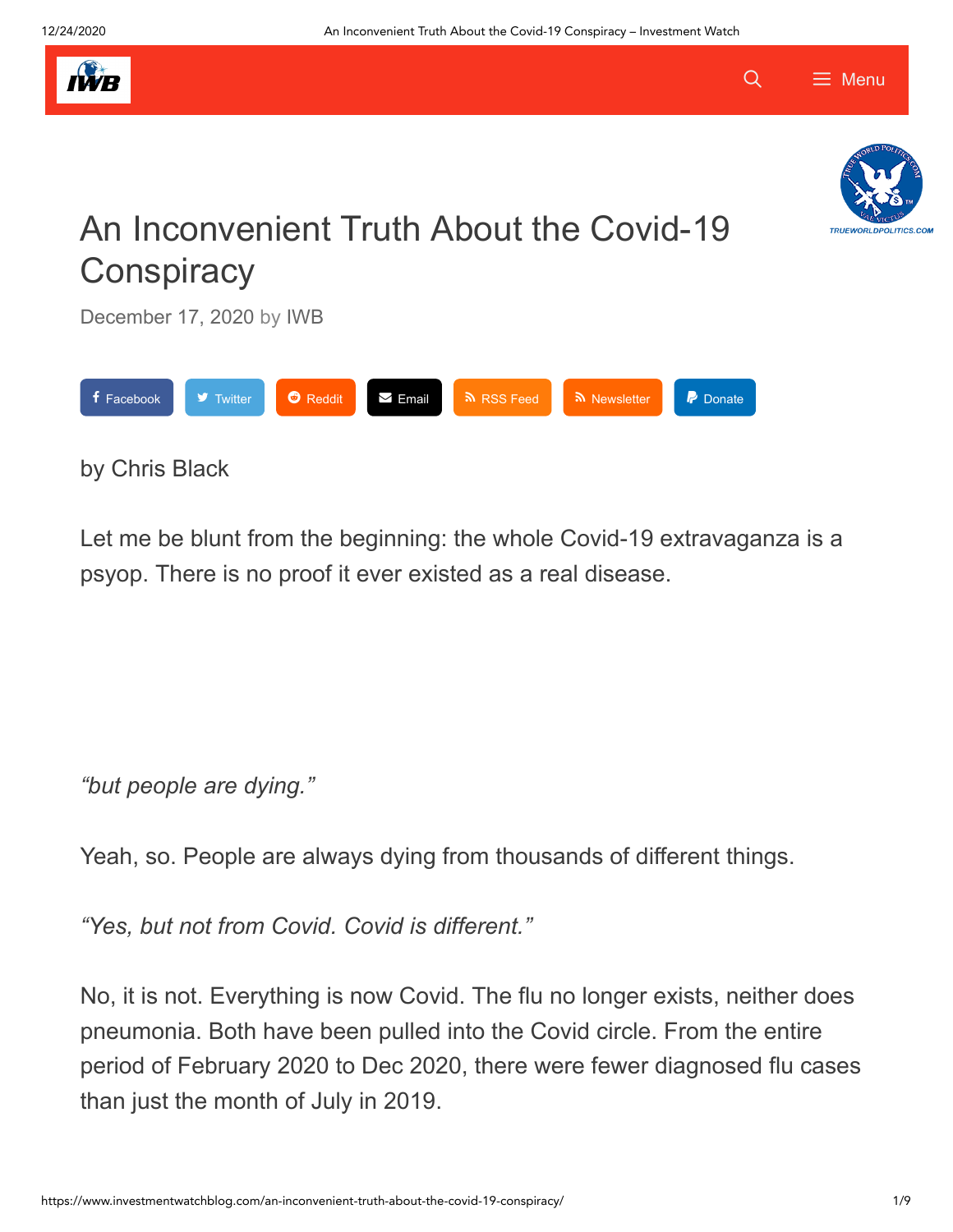



 $\equiv$  Menu

Q

# An Inconvenient Truth About the Covid-19 **Conspiracy**

[December 17, 2020](https://www.investmentwatchblog.com/an-inconvenient-truth-about-the-covid-19-conspiracy/) by [IWB](https://www.investmentwatchblog.com/author/maizipeng/)



### by Chris Black

Let me be blunt from the beginning: the whole Covid-19 extravaganza is a psyop. There is no proof it ever existed as a real disease.

*"but people are dying."*

Yeah, so. People are always dying from thousands of different things.

*"Yes, but not from Covid. Covid is different."*

No, it is not. Everything is now Covid. The flu no longer exists, neither does pneumonia. Both have been pulled into the Covid circle. From the entire period of February 2020 to Dec 2020, there were fewer diagnosed flu cases than just the month of July in 2019.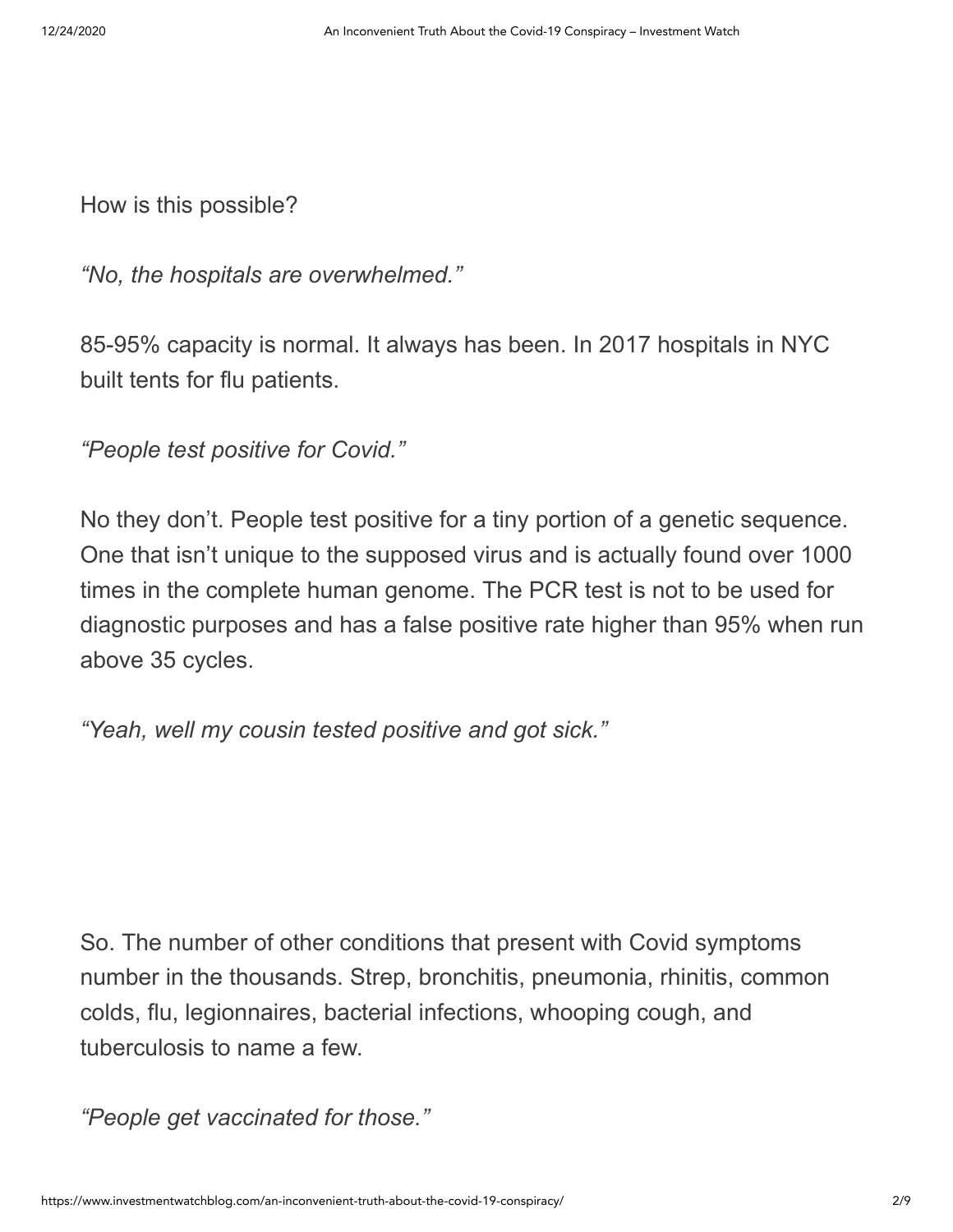How is this possible?

*"No, the hospitals are overwhelmed."*

85-95% capacity is normal. It always has been. In 2017 hospitals in NYC built tents for flu patients.

*"People test positive for Covid."*

No they don't. People test positive for a tiny portion of a genetic sequence. One that isn't unique to the supposed virus and is actually found over 1000 times in the complete human genome. The PCR test is not to be used for diagnostic purposes and has a false positive rate higher than 95% when run above 35 cycles.

*"Yeah, well my cousin tested positive and got sick."*

So. The number of other conditions that present with Covid symptoms number in the thousands. Strep, bronchitis, pneumonia, rhinitis, common colds, flu, legionnaires, bacterial infections, whooping cough, and tuberculosis to name a few.

*"People get vaccinated for those."*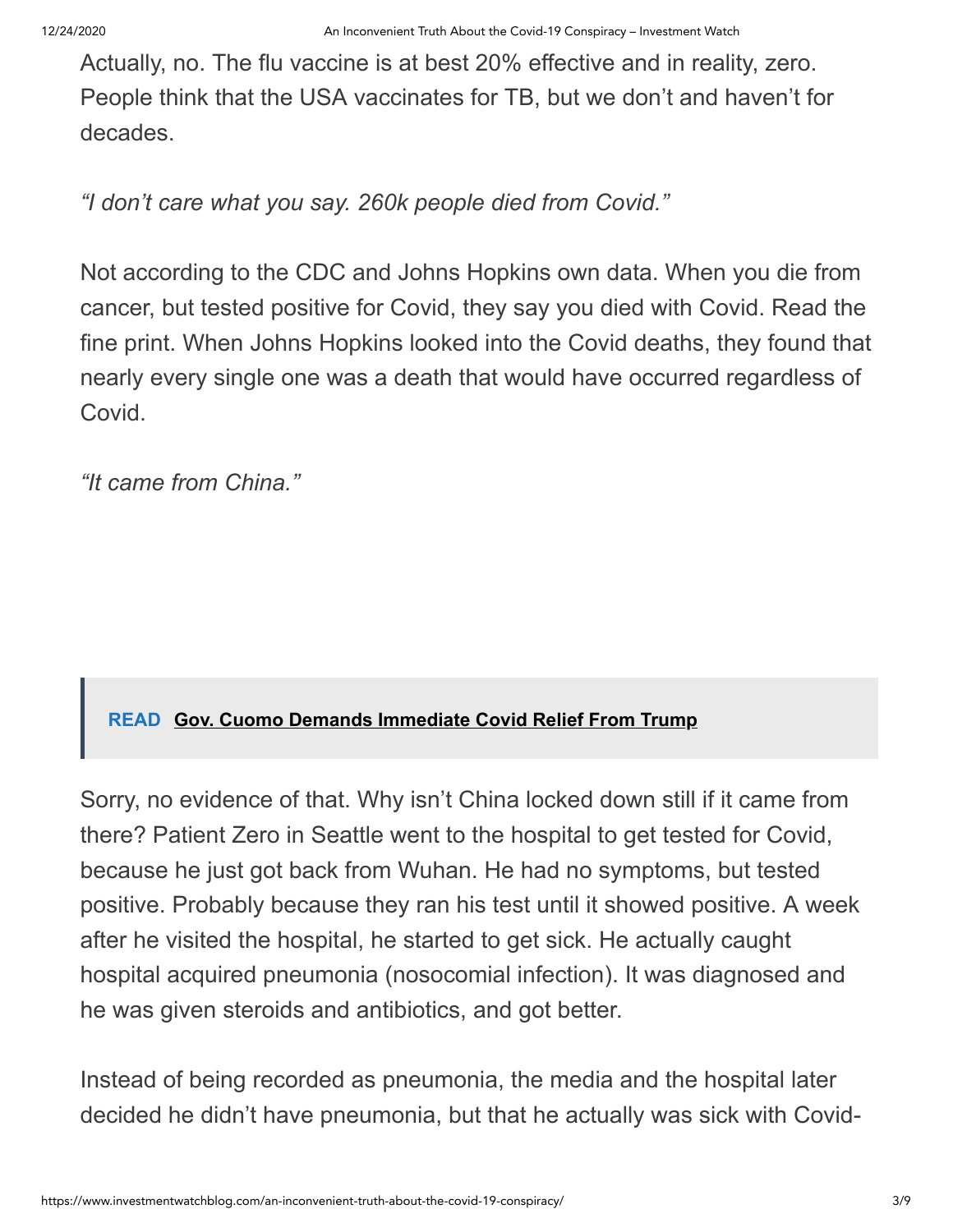Actually, no. The flu vaccine is at best 20% effective and in reality, zero. People think that the USA vaccinates for TB, but we don't and haven't for decades.

*"I don't care what you say. 260k people died from Covid."*

Not according to the CDC and Johns Hopkins own data. When you die from cancer, but tested positive for Covid, they say you died with Covid. Read the fine print. When Johns Hopkins looked into the Covid deaths, they found that nearly every single one was a death that would have occurred regardless of Covid.

*"It came from China."*

### **READ [Gov. Cuomo Demands Immediate Covid Relief From Trump](https://www.investmentwatchblog.com/gov-cuomo-demands-immediate-covid-relief-from-trump/)**

Sorry, no evidence of that. Why isn't China locked down still if it came from there? Patient Zero in Seattle went to the hospital to get tested for Covid, because he just got back from Wuhan. He had no symptoms, but tested positive. Probably because they ran his test until it showed positive. A week after he visited the hospital, he started to get sick. He actually caught hospital acquired pneumonia (nosocomial infection). It was diagnosed and he was given steroids and antibiotics, and got better.

Instead of being recorded as pneumonia, the media and the hospital later decided he didn't have pneumonia, but that he actually was sick with Covid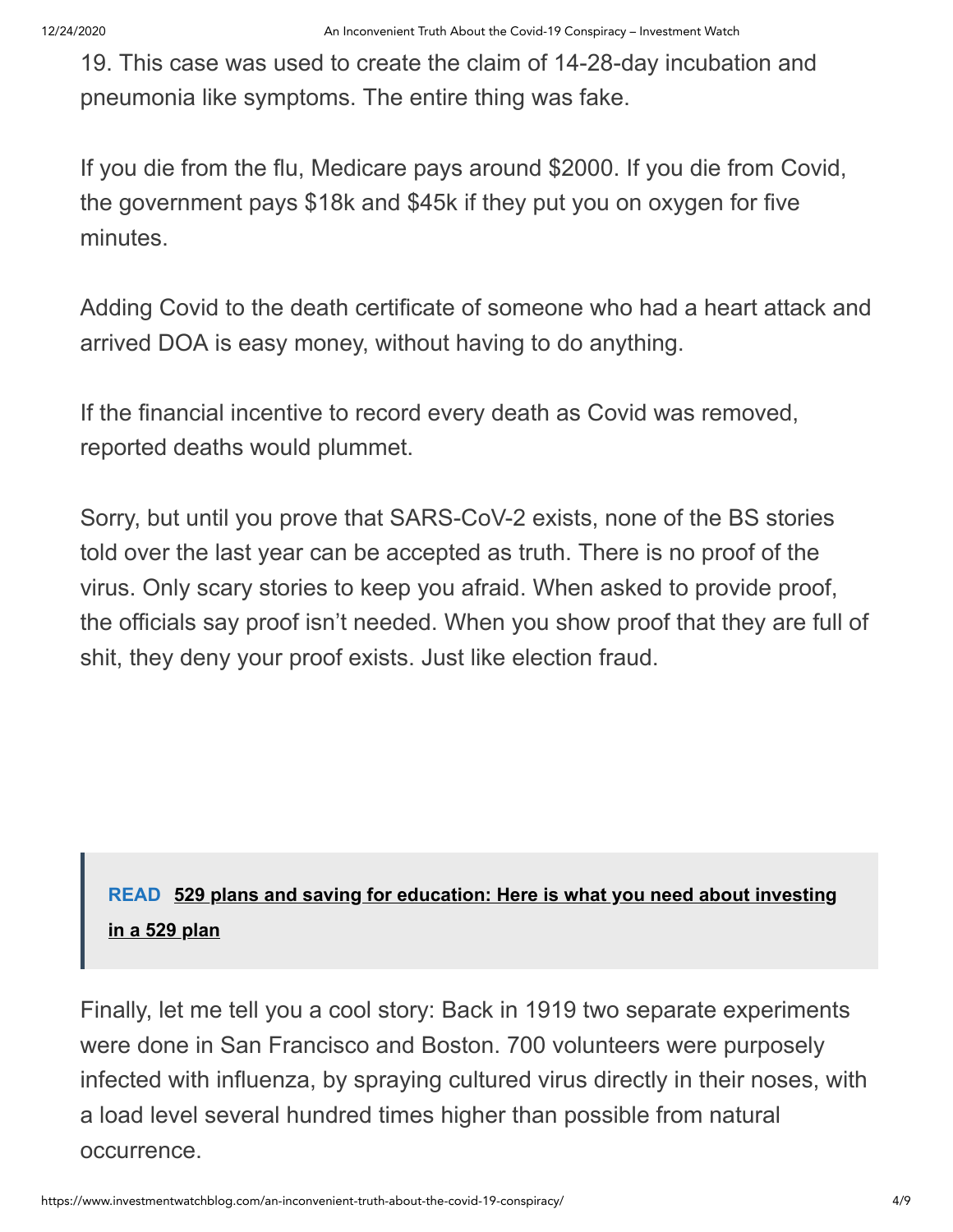19. This case was used to create the claim of 14-28-day incubation and pneumonia like symptoms. The entire thing was fake.

If you die from the flu, Medicare pays around \$2000. If you die from Covid, the government pays \$18k and \$45k if they put you on oxygen for five minutes.

Adding Covid to the death certificate of someone who had a heart attack and arrived DOA is easy money, without having to do anything.

If the financial incentive to record every death as Covid was removed, reported deaths would plummet.

Sorry, but until you prove that SARS-CoV-2 exists, none of the BS stories told over the last year can be accepted as truth. There is no proof of the virus. Only scary stories to keep you afraid. When asked to provide proof, the officials say proof isn't needed. When you show proof that they are full of shit, they deny your proof exists. Just like election fraud.

## **READ [529 plans and saving for education: Here is what you need about investing](https://www.investmentwatchblog.com/529-plans-and-saving-for-education-here-is-what-you-need-about-investing-in-a-529-plan/) in a 529 plan**

Finally, let me tell you a cool story: Back in 1919 two separate experiments were done in San Francisco and Boston. 700 volunteers were purposely infected with influenza, by spraying cultured virus directly in their noses, with a load level several hundred times higher than possible from natural occurrence.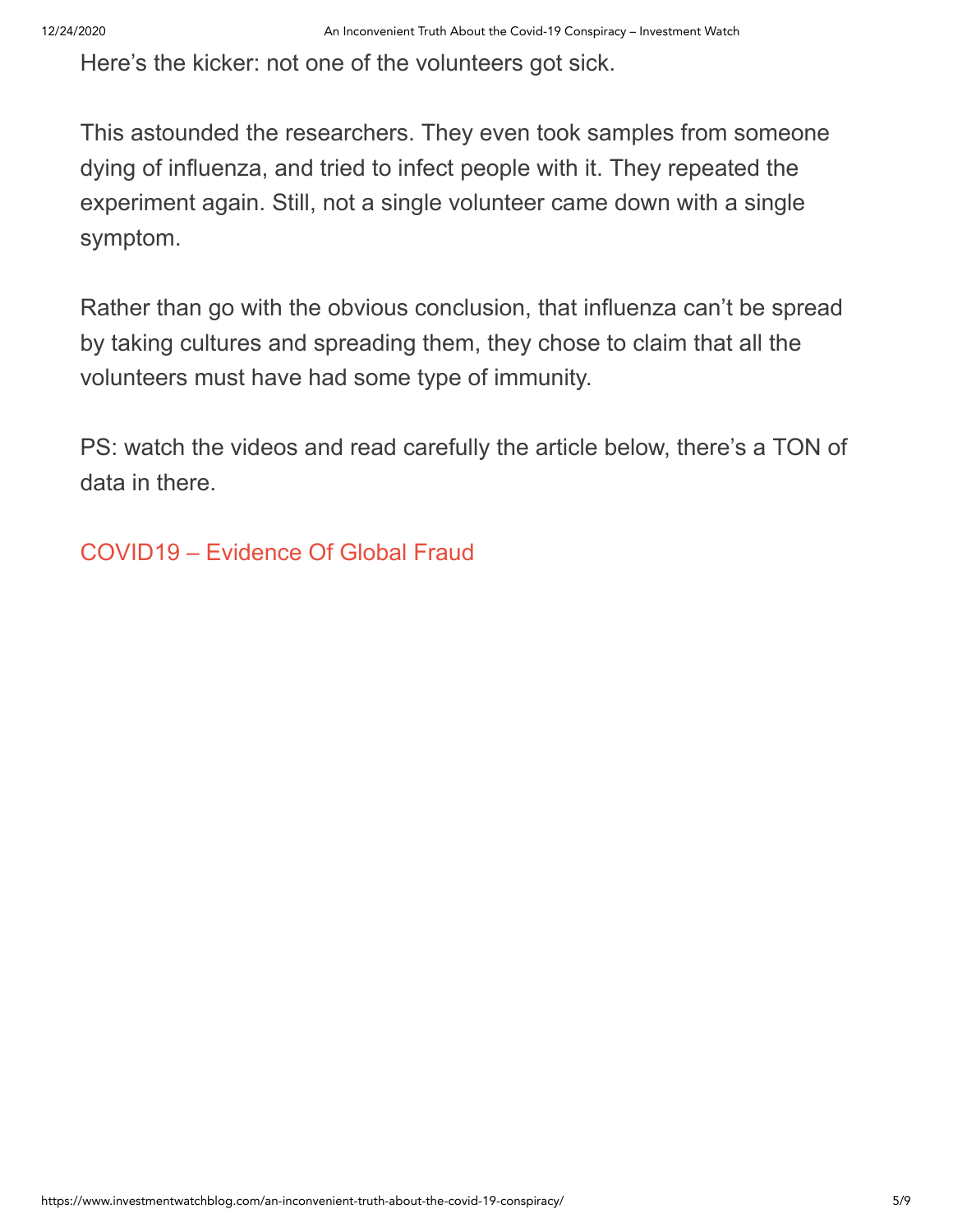Here's the kicker: not one of the volunteers got sick.

This astounded the researchers. They even took samples from someone dying of influenza, and tried to infect people with it. They repeated the experiment again. Still, not a single volunteer came down with a single symptom.

Rather than go with the obvious conclusion, that influenza can't be spread by taking cultures and spreading them, they chose to claim that all the volunteers must have had some type of immunity.

PS: watch the videos and read carefully the article below, there's a TON of data in there.

[COVID19 – Evidence Of Global Fraud](https://off-guardian.org/2020/11/17/covid19-evidence-of-global-fraud/)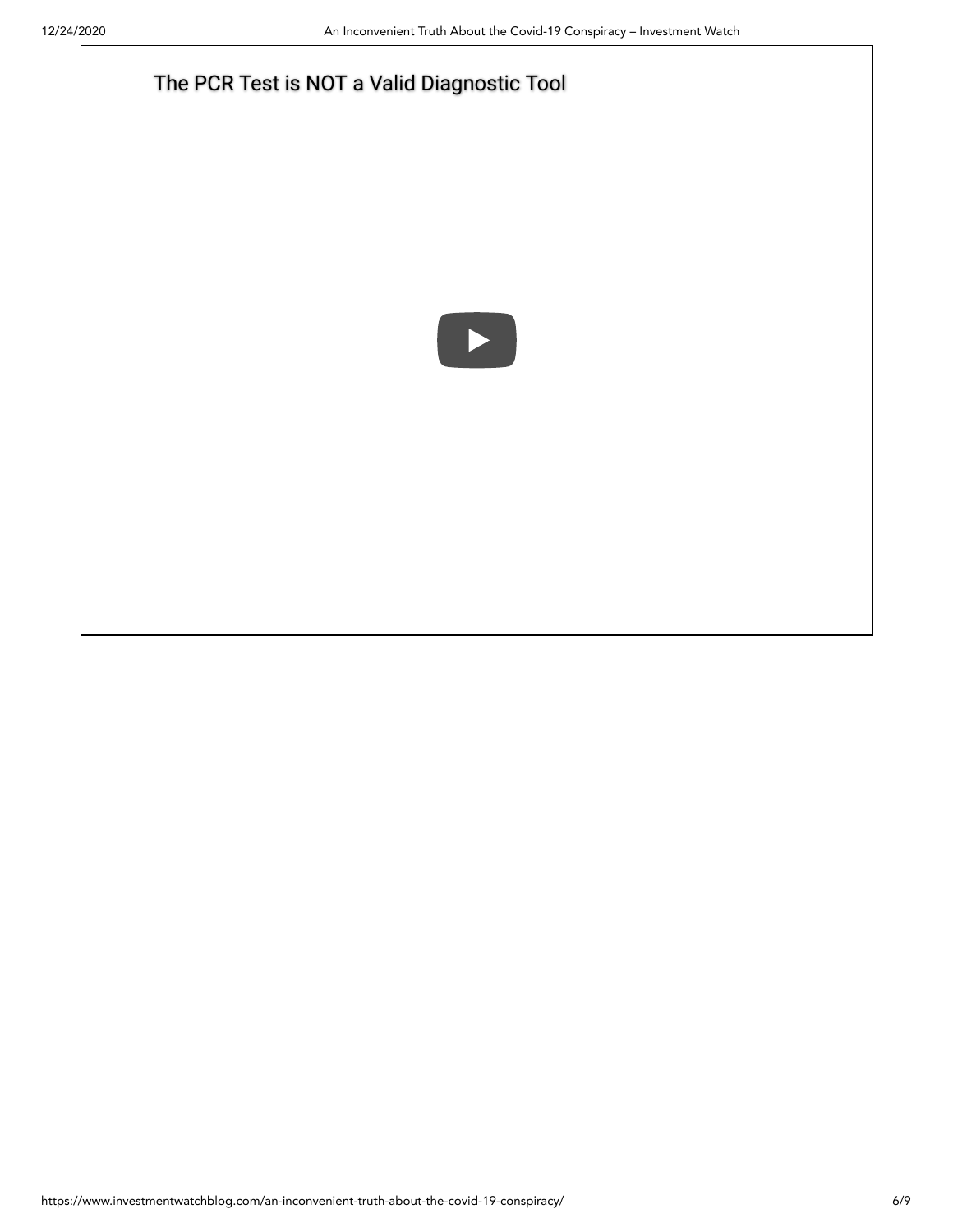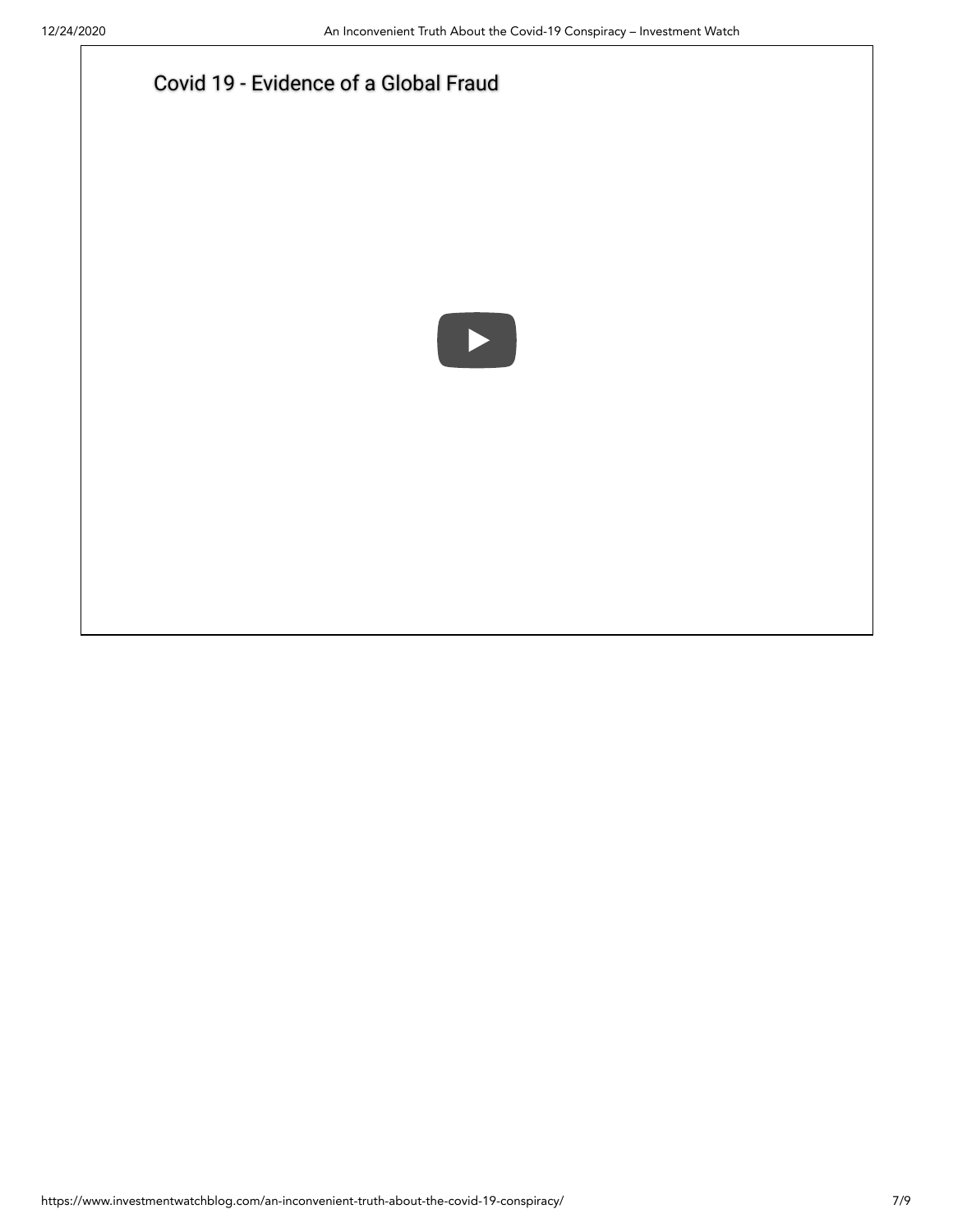